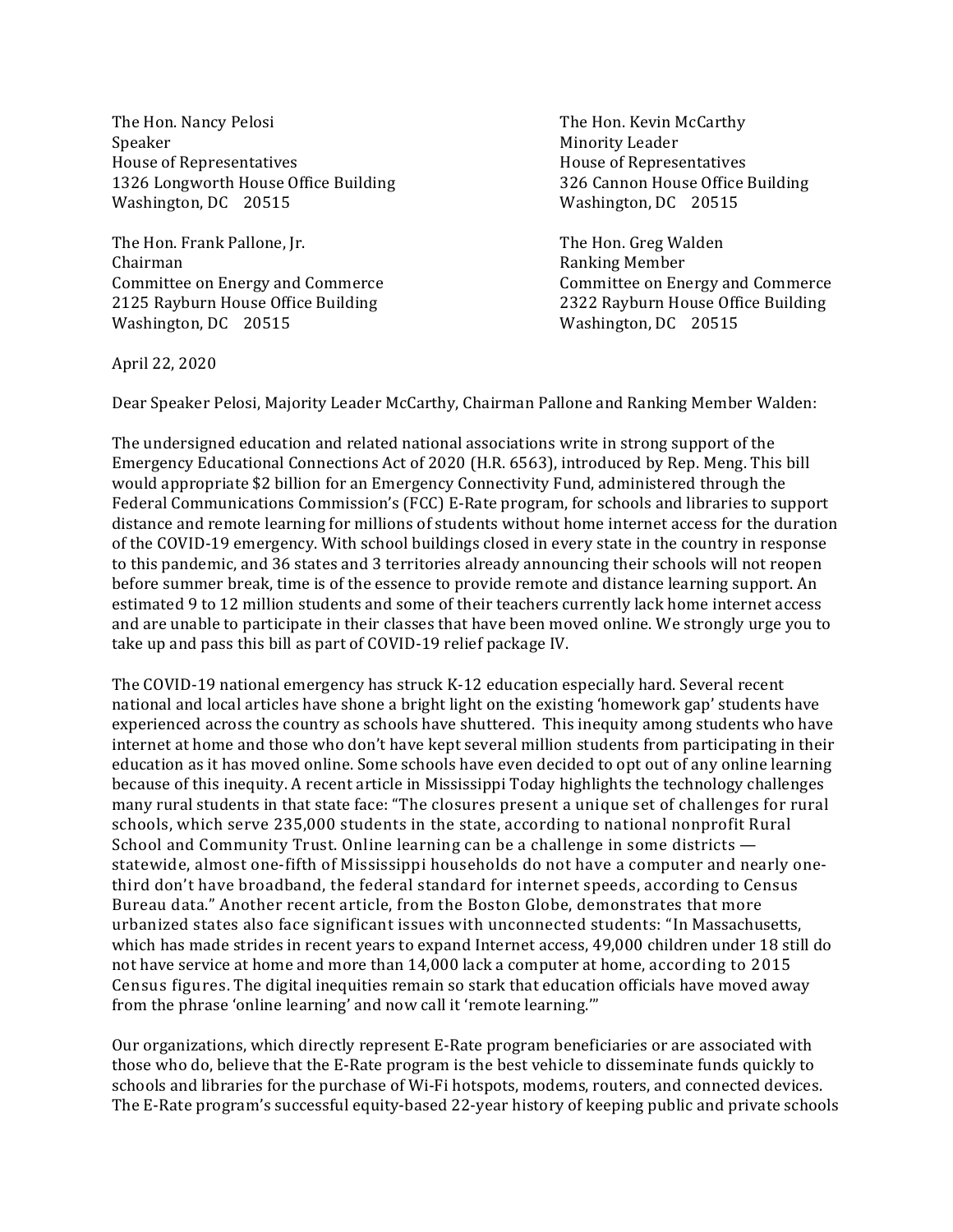The Hon. Nancy Pelosi The Hon. Kevin McCarthy Speaker Minority Leader House of Representatives **House** House of Representatives 1326 Longworth House Office Building 20 and 326 Cannon House Office Building Washington, DC 20515 Washington, DC 20515

The Hon. Frank Pallone, Jr. The Hon. Greg Walden Chairman **Ranking Member Ranking Member** Committee on Energy and Commerce Committee on Energy and Commerce 2125 Rayburn House Office Building 2322 Rayburn House Office Building Washington, DC 20515 Washington, DC 20515

April 22, 2020

Dear Speaker Pelosi, Majority Leader McCarthy, Chairman Pallone and Ranking Member Walden:

The undersigned education and related national associations write in strong support of the Emergency Educational Connections Act of 2020 (H.R. 6563), introduced by Rep. Meng. This bill would appropriate \$2 billion for an Emergency Connectivity Fund, administered through the Federal Communications Commission's (FCC) E-Rate program, for schools and libraries to support distance and remote learning for millions of students without home internet access for the duration of the COVID-19 emergency. With school buildings closed in every state in the country in response to this pandemic, and 36 states and 3 territories already announcing their schools will not reopen before summer break, time is of the essence to provide remote and distance learning support. An estimated 9 to 12 million students and some of their teachers currently lack home internet access and are unable to participate in their classes that have been moved online. We strongly urge you to take up and pass this bill as part of COVID-19 relief package IV.

The COVID-19 national emergency has struck K-12 education especially hard. Several recent national and local articles have shone a bright light on the existing 'homework gap' students have experienced across the country as schools have shuttered. This inequity among students who have internet at home and those who don't have kept several million students from participating in their education as it has moved online. Some schools have even decided to opt out of any online learning because of this inequity. A recent article in Mississippi Today highlights the technology challenges many rural students in that state face: "The closures present a unique set of challenges for rural schools, which serve 235,000 students in the state, according to national nonprofit Rural School and Community Trust. Online learning can be a challenge in some districts  $$ statewide, almost one-fifth of Mississippi households do not have a computer and nearly onethird don't have broadband, the federal standard for internet speeds, according to Census Bureau data." Another recent article, from the Boston Globe, demonstrates that more urbanized states also face significant issues with unconnected students: "In Massachusetts, which has made strides in recent years to expand Internet access, 49,000 children under 18 still do not have service at home and more than 14,000 lack a computer at home, according to 2015 Census figures. The digital inequities remain so stark that education officials have moved away from the phrase 'online learning' and now call it 'remote learning.'"

Our organizations, which directly represent E-Rate program beneficiaries or are associated with those who do, believe that the E-Rate program is the best vehicle to disseminate funds quickly to schools and libraries for the purchase of Wi-Fi hotspots, modems, routers, and connected devices. The E-Rate program's successful equity-based 22-year history of keeping public and private schools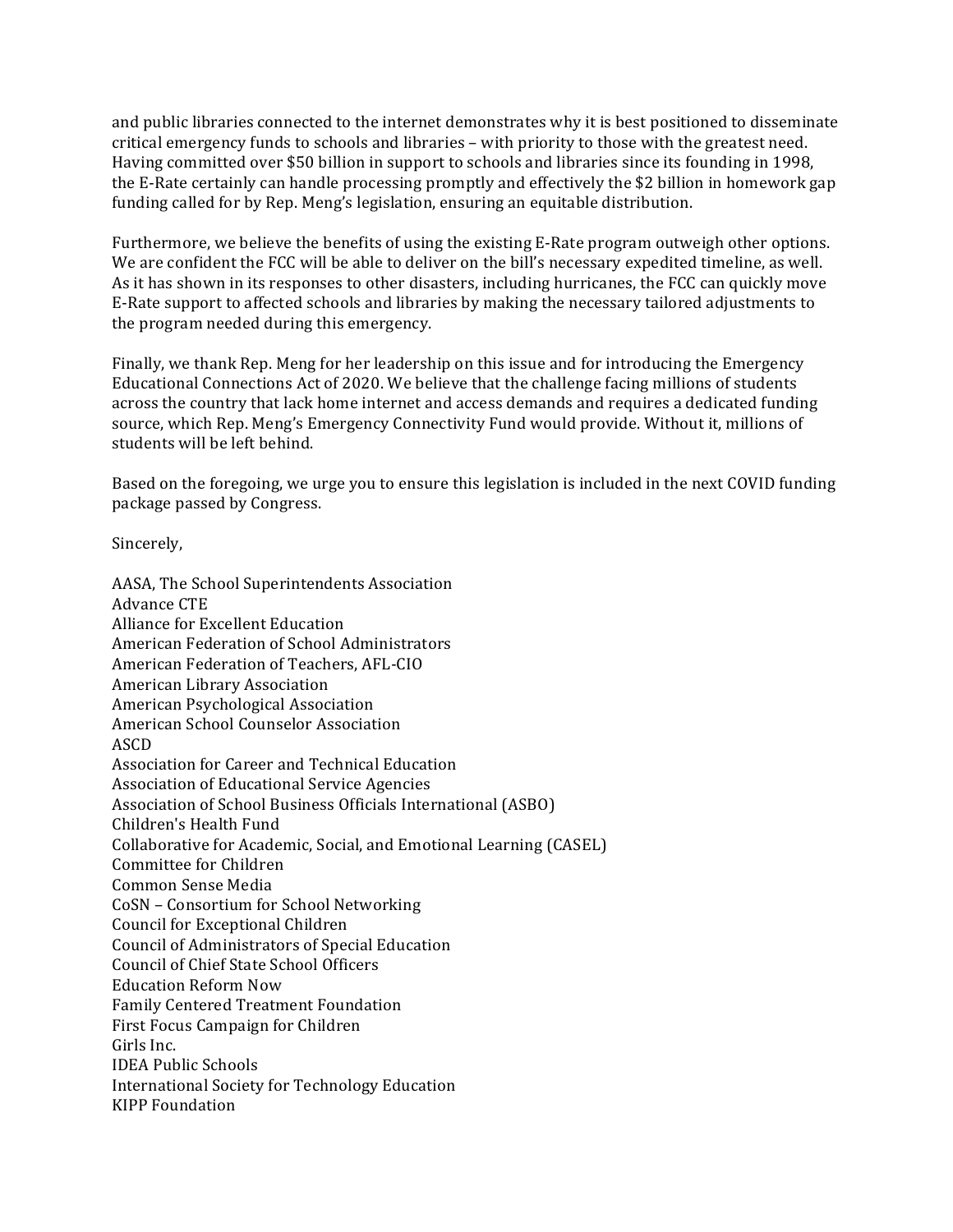and public libraries connected to the internet demonstrates why it is best positioned to disseminate critical emergency funds to schools and libraries – with priority to those with the greatest need. Having committed over \$50 billion in support to schools and libraries since its founding in 1998, the E-Rate certainly can handle processing promptly and effectively the \$2 billion in homework gap funding called for by Rep. Meng's legislation, ensuring an equitable distribution.

Furthermore, we believe the benefits of using the existing E-Rate program outweigh other options. We are confident the FCC will be able to deliver on the bill's necessary expedited timeline, as well. As it has shown in its responses to other disasters, including hurricanes, the FCC can quickly move E-Rate support to affected schools and libraries by making the necessary tailored adjustments to the program needed during this emergency.

Finally, we thank Rep. Meng for her leadership on this issue and for introducing the Emergency Educational Connections Act of 2020. We believe that the challenge facing millions of students across the country that lack home internet and access demands and requires a dedicated funding source, which Rep. Meng's Emergency Connectivity Fund would provide. Without it, millions of students will be left behind.

Based on the foregoing, we urge you to ensure this legislation is included in the next COVID funding package passed by Congress.

Sincerely,

AASA, The School Superintendents Association Advance CTE Alliance for Excellent Education American Federation of School Administrators American Federation of Teachers, AFL-CIO American Library Association American Psychological Association American School Counselor Association ASCD Association for Career and Technical Education Association of Educational Service Agencies Association of School Business Officials International (ASBO) Children's Health Fund Collaborative for Academic, Social, and Emotional Learning (CASEL) Committee for Children Common Sense Media CoSN – Consortium for School Networking Council for Exceptional Children Council of Administrators of Special Education Council of Chief State School Officers Education Reform Now Family Centered Treatment Foundation First Focus Campaign for Children Girls Inc. IDEA Public Schools International Society for Technology Education KIPP Foundation